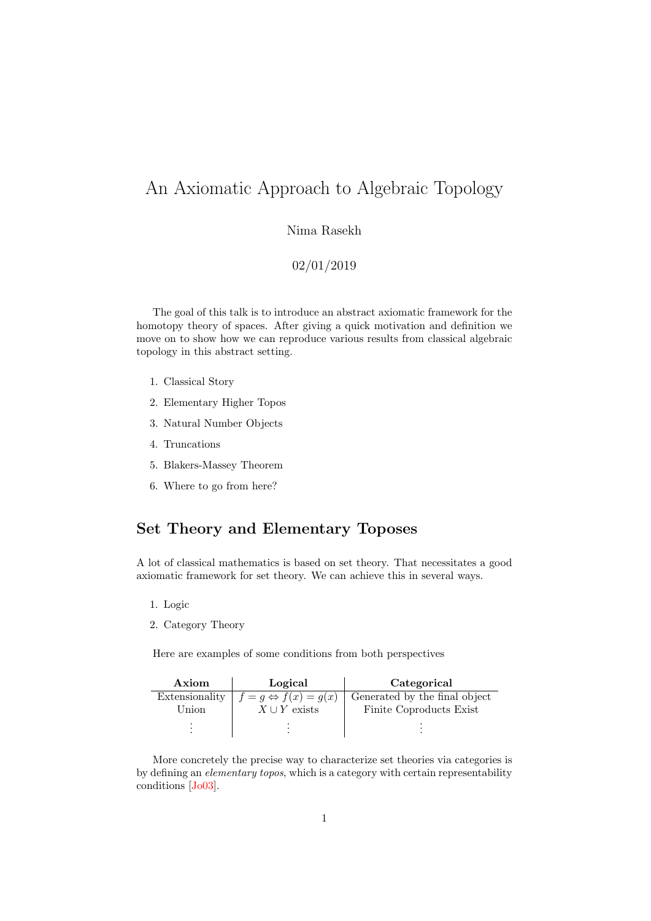# An Axiomatic Approach to Algebraic Topology

#### Nima Rasekh

02/01/2019

The goal of this talk is to introduce an abstract axiomatic framework for the homotopy theory of spaces. After giving a quick motivation and definition we move on to show how we can reproduce various results from classical algebraic topology in this abstract setting.

- 1. Classical Story
- 2. Elementary Higher Topos
- 3. Natural Number Objects
- 4. Truncations
- 5. Blakers-Massey Theorem
- 6. Where to go from here?

#### Set Theory and Elementary Toposes

A lot of classical mathematics is based on set theory. That necessitates a good axiomatic framework for set theory. We can achieve this in several ways.

- 1. Logic
- 2. Category Theory

Here are examples of some conditions from both perspectives

| Axiom          | Logical                             | Categorical                   |
|----------------|-------------------------------------|-------------------------------|
| Extensionality | $f = g \Leftrightarrow f(x) = g(x)$ | Generated by the final object |
| Union          | $X \cup Y$ exists                   | Finite Coproducts Exist       |
|                |                                     |                               |

More concretely the precise way to characterize set theories via categories is by defining an elementary topos, which is a category with certain representability conditions [\[Jo03\]](#page-7-0).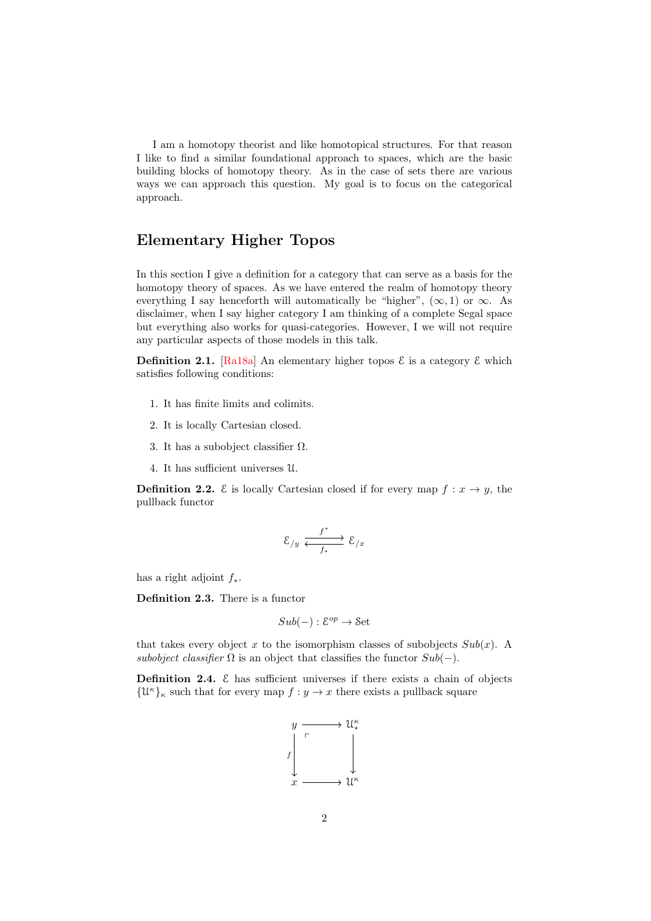I am a homotopy theorist and like homotopical structures. For that reason I like to find a similar foundational approach to spaces, which are the basic building blocks of homotopy theory. As in the case of sets there are various ways we can approach this question. My goal is to focus on the categorical approach.

### Elementary Higher Topos

In this section I give a definition for a category that can serve as a basis for the homotopy theory of spaces. As we have entered the realm of homotopy theory everything I say henceforth will automatically be "higher",  $(\infty, 1)$  or  $\infty$ . As disclaimer, when I say higher category I am thinking of a complete Segal space but everything also works for quasi-categories. However, I we will not require any particular aspects of those models in this talk.

**Definition 2.1.** [\[Ra18a\]](#page-7-1) An elementary higher topos  $\mathcal{E}$  is a category  $\mathcal{E}$  which satisfies following conditions:

- 1. It has finite limits and colimits.
- 2. It is locally Cartesian closed.
- 3. It has a subobject classifier  $\Omega$ .
- 4. It has sufficient universes U.

**Definition 2.2.**  $\&$  is locally Cartesian closed if for every map  $f: x \rightarrow y$ , the pullback functor

$$
\mathcal{E}_{/y} \xleftarrow{f^*} \mathcal{E}_{/x}
$$

has a right adjoint  $f_*$ .

Definition 2.3. There is a functor

$$
Sub(-): \mathcal{E}^{op} \to \mathcal{S}\mathrm{et}
$$

that takes every object x to the isomorphism classes of subobjects  $Sub(x)$ . A subobject classifier  $\Omega$  is an object that classifies the functor  $Sub(-)$ .

Definition 2.4.  $\epsilon$  has sufficient universes if there exists a chain of objects  $\{\mathfrak{U}^{\kappa}\}_{\kappa}$  such that for every map  $f: y \to x$  there exists a pullback square

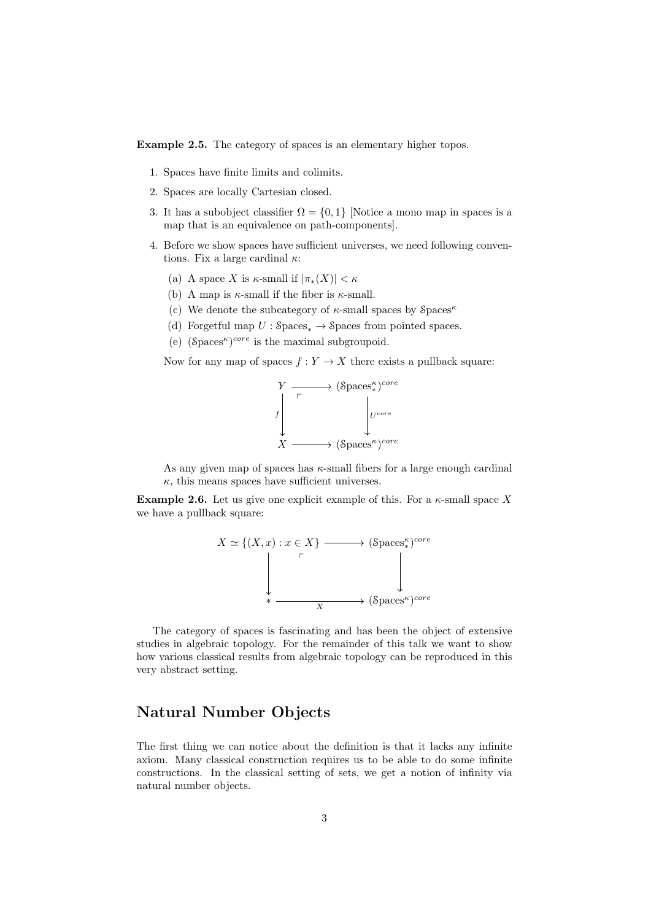Example 2.5. The category of spaces is an elementary higher topos.

- 1. Spaces have finite limits and colimits.
- 2. Spaces are locally Cartesian closed.
- 3. It has a subobject classifier  $\Omega = \{0, 1\}$  [Notice a mono map in spaces is a map that is an equivalence on path-components].
- 4. Before we show spaces have sufficient universes, we need following conventions. Fix a large cardinal  $\kappa$ :
	- (a) A space X is  $\kappa$ -small if  $|\pi_*(X)| < \kappa$
	- (b) A map is  $\kappa$ -small if the fiber is  $\kappa$ -small.
	- (c) We denote the subcategory of  $\kappa$ -small spaces by Spaces<sup> $\kappa$ </sup>
	- (d) Forgetful map  $U :$  Spaces<sub>\*</sub>  $\rightarrow$  Spaces from pointed spaces.
	- (e)  $(\text{Spaces}^{\kappa})^{core}$  is the maximal subgroupoid.

Now for any map of spaces  $f: Y \to X$  there exists a pullback square:



As any given map of spaces has  $\kappa$ -small fibers for a large enough cardinal  $\kappa$ , this means spaces have sufficient universes.

**Example 2.6.** Let us give one explicit example of this. For a  $\kappa$ -small space X we have a pullback square:

$$
X \simeq \{(X, x) : x \in X\} \longrightarrow (\text{Spaces}^{\kappa}_*)^{core}
$$
\n
$$
\downarrow \qquad \qquad \downarrow
$$
\n
$$
\downarrow \qquad \qquad \downarrow
$$
\n
$$
\downarrow \qquad \qquad \downarrow
$$
\n
$$
\downarrow \qquad \qquad \downarrow
$$
\n
$$
\downarrow
$$
\n
$$
\downarrow
$$
\n
$$
\downarrow
$$
\n
$$
\text{Spaces}^{\kappa})^{core}
$$

The category of spaces is fascinating and has been the object of extensive studies in algebraic topology. For the remainder of this talk we want to show how various classical results from algebraic topology can be reproduced in this very abstract setting.

#### Natural Number Objects

The first thing we can notice about the definition is that it lacks any infinite axiom. Many classical construction requires us to be able to do some infinite constructions. In the classical setting of sets, we get a notion of infinity via natural number objects.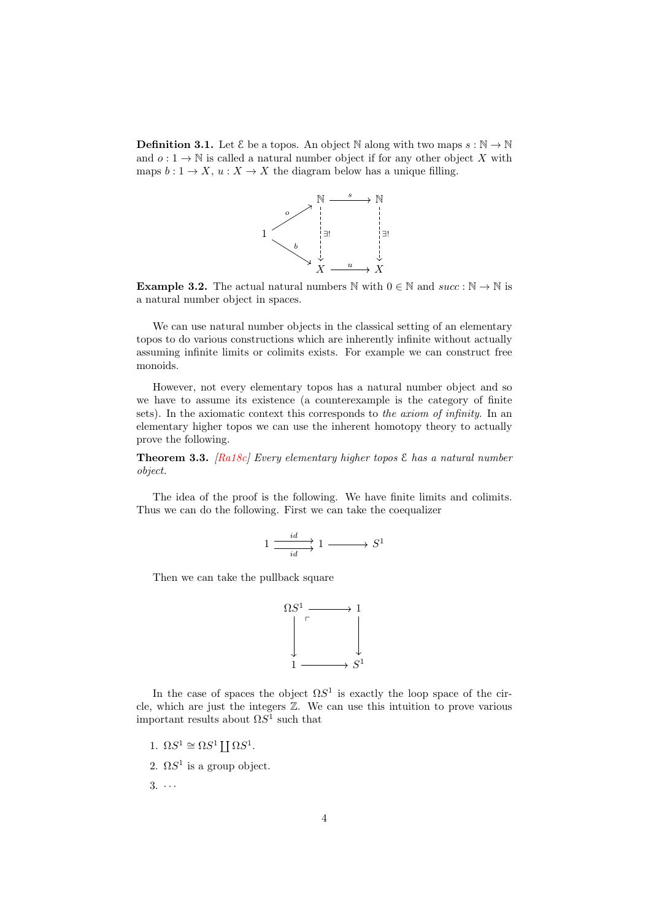**Definition 3.1.** Let  $\mathcal{E}$  be a topos. An object N along with two maps  $s : \mathbb{N} \to \mathbb{N}$ and  $o: 1 \to \mathbb{N}$  is called a natural number object if for any other object X with maps  $b: 1 \to X$ ,  $u: X \to X$  the diagram below has a unique filling.



**Example 3.2.** The actual natural numbers  $\mathbb N$  with  $0 \in \mathbb N$  and  $succ : \mathbb N \to \mathbb N$  is a natural number object in spaces.

We can use natural number objects in the classical setting of an elementary topos to do various constructions which are inherently infinite without actually assuming infinite limits or colimits exists. For example we can construct free monoids.

However, not every elementary topos has a natural number object and so we have to assume its existence (a counterexample is the category of finite sets). In the axiomatic context this corresponds to the axiom of infinity. In an elementary higher topos we can use the inherent homotopy theory to actually prove the following.

**Theorem 3.3.** [\[Ra18c\]](#page-7-2) Every elementary higher topos  $\mathcal{E}$  has a natural number object.

The idea of the proof is the following. We have finite limits and colimits. Thus we can do the following. First we can take the coequalizer

$$
1 \xrightarrow{\operatorname{id} \atop \operatorname{id}} 1 \xrightarrow{\qquad \qquad } S^1
$$

Then we can take the pullback square



In the case of spaces the object  $\Omega S^1$  is exactly the loop space of the circle, which are just the integers Z. We can use this intuition to prove various important results about  $\Omega S^1$  such that

- 1.  $\Omega S^1 \cong \Omega S^1 \coprod \Omega S^1$ .
- 2.  $\Omega S^1$  is a group object.
- $3. \cdots$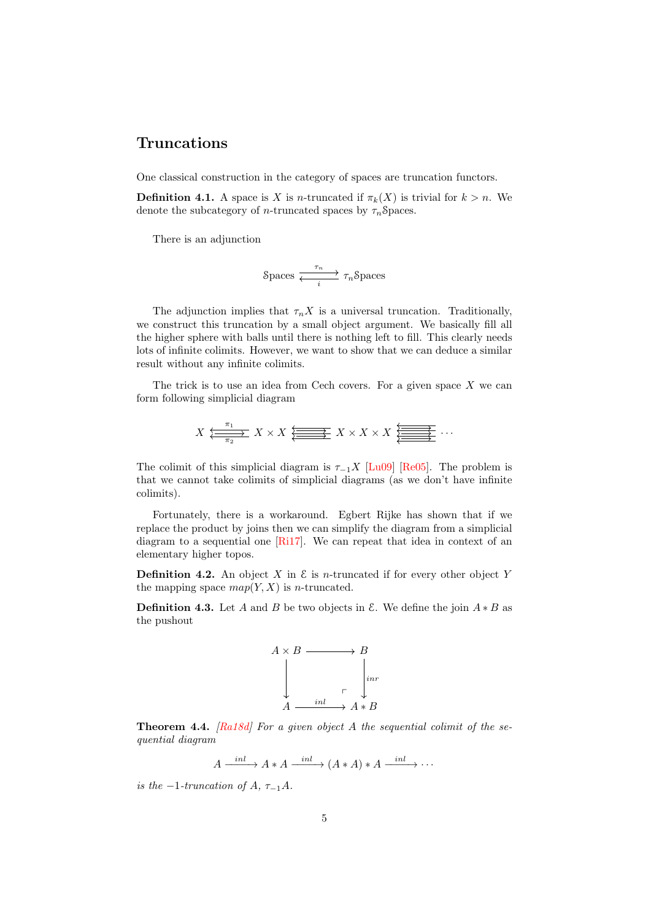#### Truncations

One classical construction in the category of spaces are truncation functors.

**Definition 4.1.** A space is X is n-truncated if  $\pi_k(X)$  is trivial for  $k > n$ . We denote the subcategory of *n*-truncated spaces by  $\tau_n$ Spaces.

There is an adjunction

$$
\text{Spaces} \xrightarrow[i]{\tau_n} \tau_n \text{Spaces}
$$

The adjunction implies that  $\tau_n X$  is a universal truncation. Traditionally, we construct this truncation by a small object argument. We basically fill all the higher sphere with balls until there is nothing left to fill. This clearly needs lots of infinite colimits. However, we want to show that we can deduce a similar result without any infinite colimits.

The trick is to use an idea from Cech covers. For a given space  $X$  we can form following simplicial diagram

$$
X \xleftarrow{\pi_1} X \times X \xleftarrow{\pi_2} X \times X \times X \xleftarrow{\pi_3} \cdots
$$

The colimit of this simplicial diagram is  $\tau_{-1}X$  [\[Lu09\]](#page-7-3) [\[Re05\]](#page-7-4). The problem is that we cannot take colimits of simplicial diagrams (as we don't have infinite colimits).

Fortunately, there is a workaround. Egbert Rijke has shown that if we replace the product by joins then we can simplify the diagram from a simplicial diagram to a sequential one [\[Ri17\]](#page-7-5). We can repeat that idea in context of an elementary higher topos.

**Definition 4.2.** An object X in  $\mathcal E$  is n-truncated if for every other object Y the mapping space  $map(Y, X)$  is *n*-truncated.

**Definition 4.3.** Let A and B be two objects in  $\mathcal{E}$ . We define the join  $A * B$  as the pushout



**Theorem 4.4.** [\[Ra18d\]](#page-7-6) For a given object A the sequential colimit of the sequential diagram

$$
A \xrightarrow{inl} A*A \xrightarrow{inl} (A*A)*A \xrightarrow{inl} \cdots
$$

is the  $-1$ -truncation of A,  $\tau_{-1}A$ .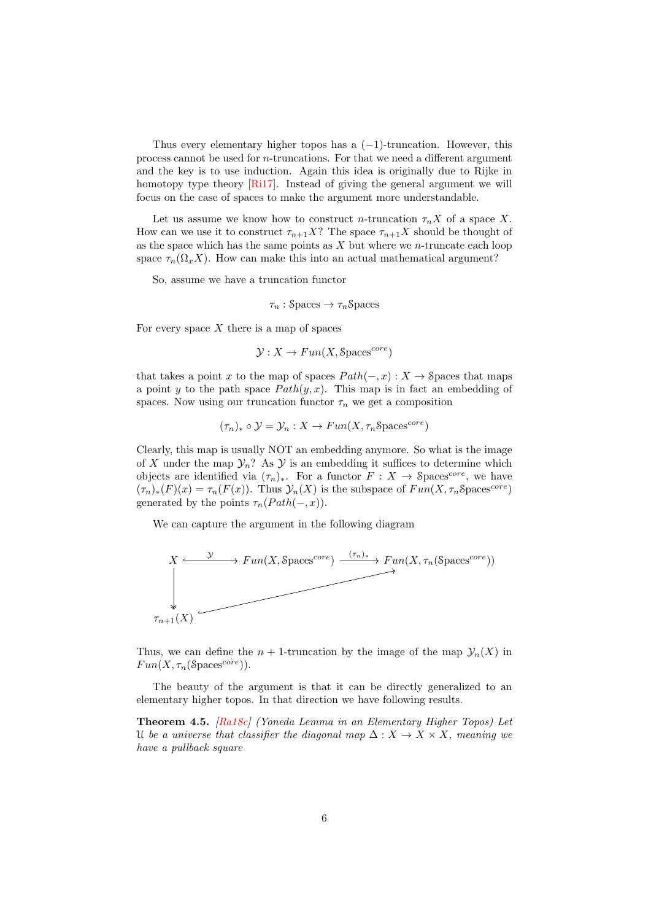Thus every elementary higher topos has a  $(-1)$ -truncation. However, this process cannot be used for n-truncations. For that we need a different argument and the key is to use induction. Again this idea is originally due to Rijke in homotopy type theory [\[Ri17\]](#page-7-5). Instead of giving the general argument we will focus on the case of spaces to make the argument more understandable.

Let us assume we know how to construct n-truncation  $\tau_n X$  of a space X. How can we use it to construct  $\tau_{n+1}X$ ? The space  $\tau_{n+1}X$  should be thought of as the space which has the same points as  $X$  but where we *n*-truncate each loop space  $\tau_n(\Omega_x X)$ . How can make this into an actual mathematical argument?

So, assume we have a truncation functor

$$
\tau_n : \text{Spaces} \to \tau_n \text{Spaces}
$$

For every space  $X$  there is a map of spaces

 $\mathcal{Y}: X \to Fun(X, \text{Spaces}^{core})$ 

that takes a point x to the map of spaces  $Path(-, x) : X \to \mathcal{S}$  paces that maps a point y to the path space  $Path(y, x)$ . This map is in fact an embedding of spaces. Now using our truncation functor  $\tau_n$  we get a composition

$$
(\tau_n)_* \circ \mathcal{Y} = \mathcal{Y}_n : X \to Fun(X, \tau_n \text{Spaces}^{core})
$$

Clearly, this map is usually NOT an embedding anymore. So what is the image of X under the map  $\mathcal{Y}_n$ ? As Y is an embedding it suffices to determine which objects are identified via  $(\tau_n)_*$ . For a functor  $F : X \to \text{Spaces}^{\text{core}}$ , we have  $(\tau_n)_*(F)(x) = \tau_n(F(x))$ . Thus  $\mathcal{Y}_n(X)$  is the subspace of  $Fun(X, \tau_n \text{Spaces}^{core})$ generated by the points  $\tau_n(Path(-, x))$ .

We can capture the argument in the following diagram



Thus, we can define the  $n + 1$ -truncation by the image of the map  $\mathcal{Y}_n(X)$  in  $Fun(X, \tau_n(\text{Spaces}^{core}))$ .

The beauty of the argument is that it can be directly generalized to an elementary higher topos. In that direction we have following results.

Theorem 4.5. [\[Ra18c\]](#page-7-7) (Yoneda Lemma in an Elementary Higher Topos) Let U be a universe that classifier the diagonal map  $\Delta: X \to X \times X$ , meaning we have a pullback square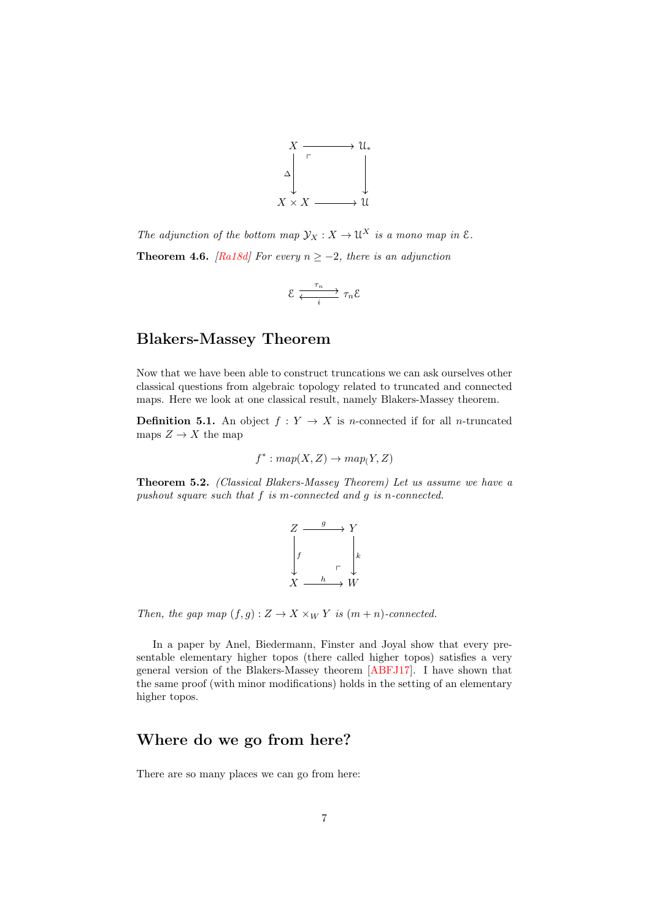

The adjunction of the bottom map  $\mathcal{Y}_X : X \to \mathcal{U}^X$  is a mono map in  $\mathcal{E}$ . **Theorem 4.6.** [\[Ra18d\]](#page-7-6) For every  $n \ge -2$ , there is an adjunction

$$
\mathcal{E} \xrightarrow[i]{\tau_n} \tau_n \mathcal{E}
$$

#### Blakers-Massey Theorem

Now that we have been able to construct truncations we can ask ourselves other classical questions from algebraic topology related to truncated and connected maps. Here we look at one classical result, namely Blakers-Massey theorem.

**Definition 5.1.** An object  $f: Y \to X$  is n-connected if for all n-truncated maps  $Z \to X$  the map

$$
f^* : map(X, Z) \to map(Y, Z)
$$

Theorem 5.2. (Classical Blakers-Massey Theorem) Let us assume we have a pushout square such that f is m-connected and g is n-connected.

$$
\begin{array}{ccc}\nZ & \xrightarrow{g} & Y \\
\downarrow & & \downarrow \\
f & & \uparrow \\
X & \xrightarrow{h} & W\n\end{array}
$$

Then, the gap map  $(f, g) : Z \to X \times_W Y$  is  $(m + n)$ -connected.

In a paper by Anel, Biedermann, Finster and Joyal show that every presentable elementary higher topos (there called higher topos) satisfies a very general version of the Blakers-Massey theorem [\[ABFJ17\]](#page-7-8). I have shown that the same proof (with minor modifications) holds in the setting of an elementary higher topos.

#### Where do we go from here?

There are so many places we can go from here: